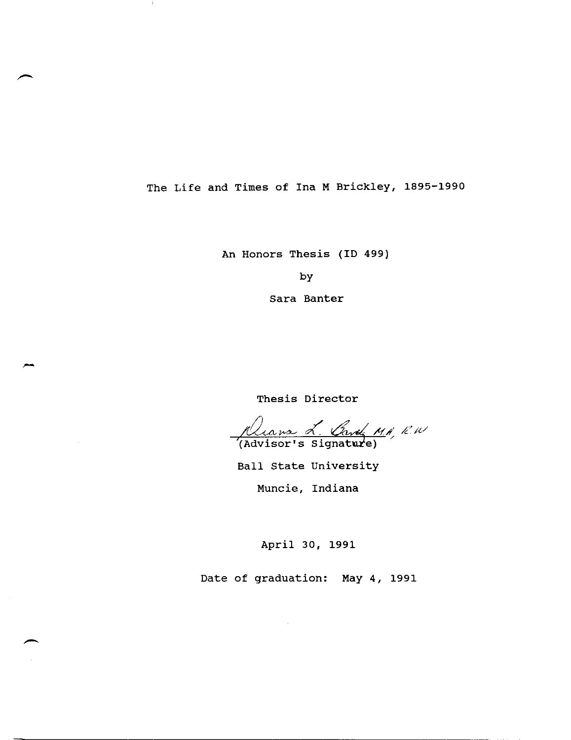The Life and Times of Ina M Brickley, 1895-1990

j.

An Honors Thesis (ID 499)

by

Sara Banter

Thesis Director

Rians L. Gard, MARU

Ball State University

Muncie, Indiana

April 30, 1991

Date of graduation: May 4, 1991

-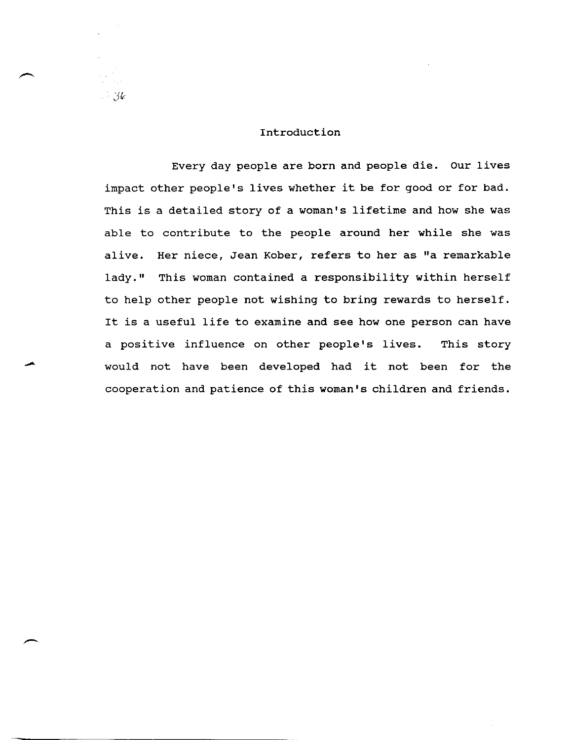## Introduction

 $-3\epsilon$ 

Every day people are born and people die. Our lives impact other people's lives whether it be for good or for bad. This is a detailed story of a woman's lifetime and how she was able to contribute to the people around her while she was alive. Her niece, Jean Kober, refers to her as "a remarkable lady." This woman contained a responsibility within herself to help other people not wishing to bring rewards to herself. It is a useful life to examine and see how one person can have a positive influence on other people's lives. This story would not have been developed had it not been for the cooperation and patience of this woman's children and friends.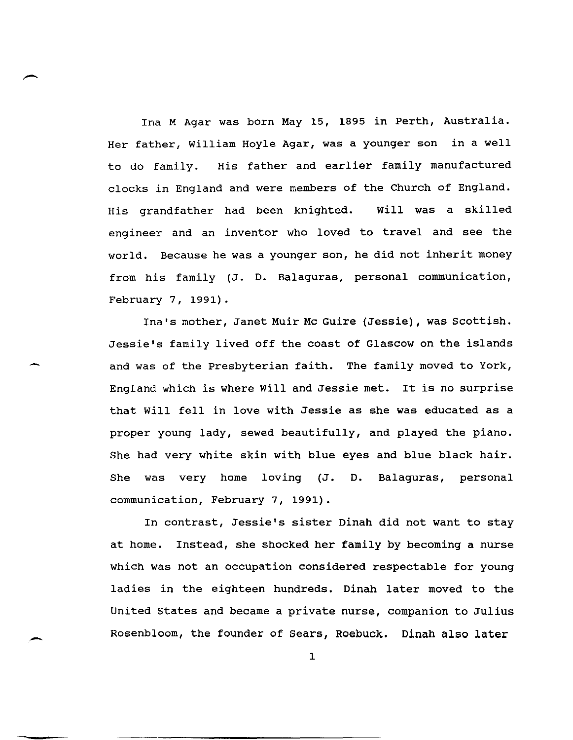Ina M Agar was born May 15, 1895 in Perth, Australia. Her father, William Hoyle Agar, was a younger son in a well to do family. His father and earlier family manufactured clocks in England and were members of the Church of England. His grandfather had been knighted. will was a skilled engineer and an inventor who loved to travel and see the world. Because he was a younger son, he did not inherit money from his family (J. D. Balaguras, personal communication, February 7, 1991).

,-...

Ina's mother, Janet Muir Mc Guire (Jessie), was scottish. Jessie's family lived off the coast of Glascow on the islands and was of the presbyterian faith. The family moved to York, England which is where will and Jessie met. It is no surprise that will fell in love with Jessie as she was educated as a proper young lady, sewed beautifully, and played the piano. She had very white skin with blue eyes and blue black hair. She was very home loving (J. D. Balaguras, personal communication, February 7, 1991).

In contrast, Jessie's sister Dinah did not want to stay at home. Instead, she shocked her family by becoming a nurse which was not an occupation considered respectable for young ladies in the eighteen hundreds. Dinah later moved to the United States and became a private nurse, companion to Julius Rosenbloom, the founder of Sears, Roebuck. Dinah also later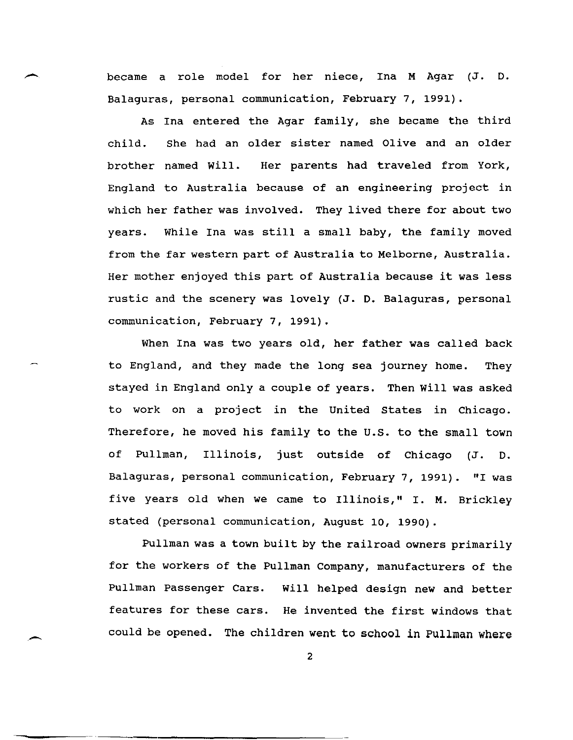became a role model for her niece, Ina M Agar (J. D. Balaguras, personal communication, February 7, 1991).

As Ina entered the Agar family, she became the third child. She had an older sister named Olive and an older brother named will. Her parents had traveled from York, England to Australia because of an engineering project in which her father was involved. They lived there for about two years. While Ina was still a small baby, the family moved from the far western part of Australia to Melborne, Australia. Her mother enjoyed this part of Australia because it was less rustic and the scenery was lovely (J. D. Balaguras, personal communication, February 7, 1991).

When Ina was two years old, her father was called back to England, and they made the long sea journey home. They stayed in England only a couple of years. Then will was asked to work on a project in the United states in Chicago. Therefore, he moved his family to the U.S. to the small town of Pullman, Illinois, just outside of Chicago (J. D. Balaguras, personal communication, February 7, 1991). "I was five years old when we came to Illinois," 1. M. Brickley stated (personal communication, August 10, 1990).

Pullman was a town built by the railroad owners primarily for the workers of the Pullman Company, manufacturers of the Pullman Passenger Cars. will helped design new and better features for these cars. He invented the first windows that could be opened. The children went to school in Pullman where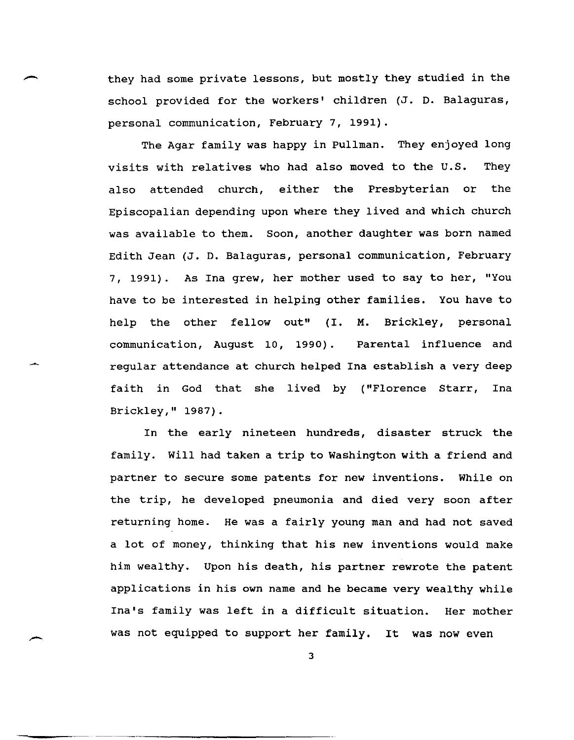they had some private lessons, but mostly they studied in the school provided for the workers' children (J. D. Balaguras, personal communication, February 7, 1991).

The Agar family was happy in Pullman. They enjoyed long visits with relatives who had also moved to the U.S. They also attended church, either the Presbyterian or the Episcopalian depending upon where they lived and which church was available to them. Soon, another daughter was born named Edith Jean (J. D. Balaguras, personal communication, February 7, 1991). As Ina grew, her mother used to say to her, "You have to be interested in helping other families. You have to help the other fellow out" (1. M. Brickley, personal communication, August 10, 1990). Parental influence and regular attendance at church helped Ina establish a very deep faith in God that she lived by ("Florence Starr, Ina Brickley," 1987).

In the early nineteen hundreds, disaster struck the family. will had taken a trip to Washington with a friend and partner to secure some patents for new inventions. While on the trip, he developed pneumonia and died very soon after returning home. He was a fairly young man and had not saved a lot of money, thinking that his new inventions would make him wealthy. Upon his death, his partner rewrote the patent applications in his own name and he became very wealthy while Ina's family was left in a difficult situation. Her mother was not equipped to support her family. It was now even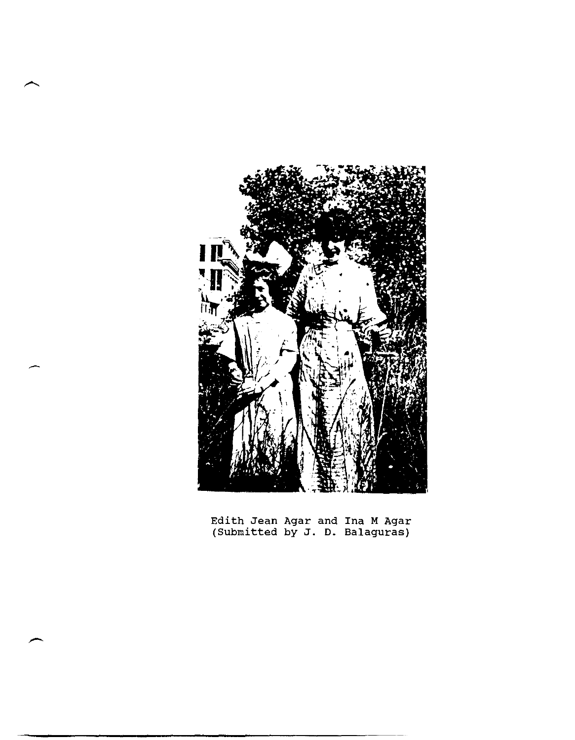

Edith Jean Agar and Ina M Agar (Submitted by J. D. Balaguras)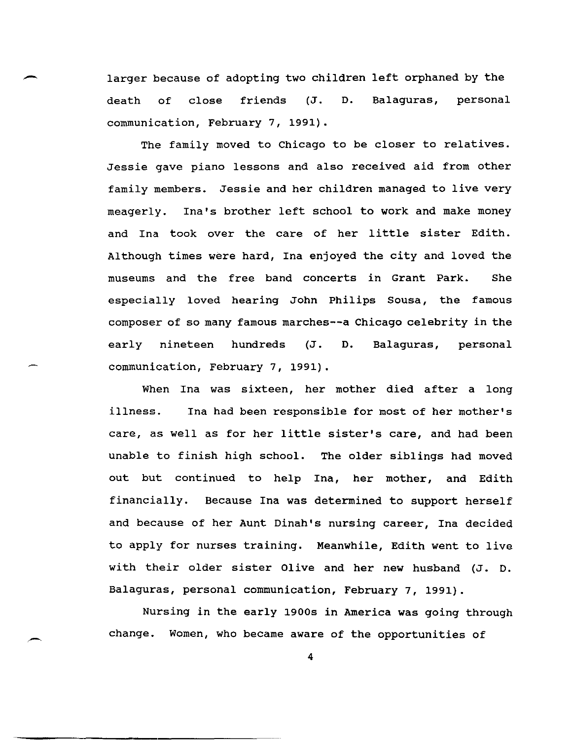larger because of adopting two children left orphaned by the<br>death of close friends (J. D. Balaguras, personal Balaguras, communication, February 7, 1991).

The family moved to Chicago to be closer to relatives. Jessie gave piano lessons and also received aid from other family members. Jessie and her children managed to live very meagerly. Ina's brother left school to work and make money and Ina took over the care of her little sister Edith. Although times were hard, Ina enjoyed the city and loved the museums and the free band concerts in Grant Park. She especially loved hearing John Philips Sousa, the famous composer of so many famous marches--a Chicago celebrity in the early nineteen hundreds (J. D. Balaguras, personal communication, February 7, 1991).

When Ina was sixteen, her mother died after a long illness. Ina had been responsible for most of her mother's care, as well as for her little sister's care, and had been unable to finish high school. The older siblings had moved out but continued to help Ina, her mother, and Edith financially. Because Ina was determined to support herself and because of her Aunt Dinah's nursing career, Ina decided to apply for nurses training. Meanwhile, Edith went to live with their older sister Olive and her new husband (J. D. Balaguras, personal communication, February 7, 1991).

Nursing in the early 1900s in America was going through change. Women, who became aware of the opportunities of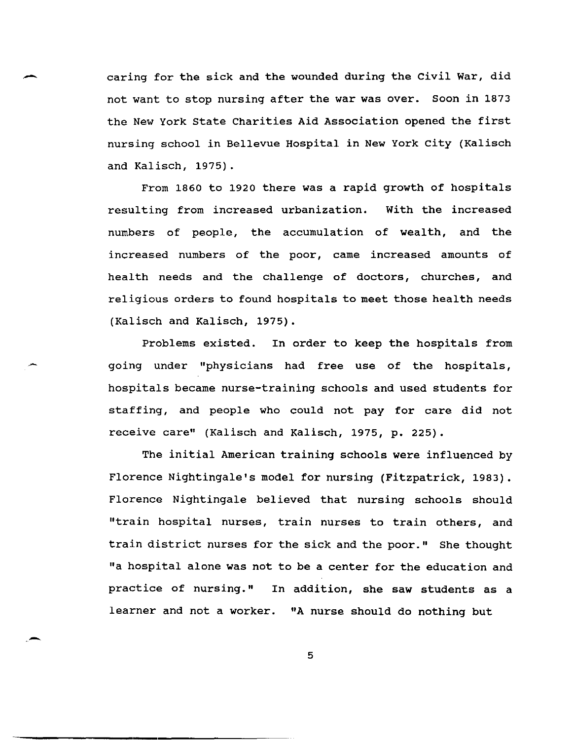caring for the sick and the wounded during the Civil War, did not want to stop nursing after the war was over. Soon in 1873 the New York State Charities Aid Association opened the first nursing school in Bellevue Hospital in New York city (Kalisch and Kalisch, 1975).

From 1860 to 1920 there was a rapid growth of hospitals resulting from increased urbanization. with the increased numbers of people, the accumulation of wealth, and the increased numbers of the poor, came increased amounts of health needs and the challenge of doctors, churches, and religious orders to found hospitals to meet those health needs (Kalisch and Kalisch, 1975).

Problems existed. In order to keep the hospitals from going under "physicians had free use of the hospitals, hospitals became nurse-training schools and used students for staffing, and people who could not pay for care did not receive care" (Kalisch and Kalisch, 1975, p. 225).

The initial American training schools were influenced by Florence Nightingale's model for nursing (Fitzpatrick, 1983). Florence Nightingale believed that nursing schools should "train hospital nurses, train nurses to train others, and train district nurses for the sick and the poor." She thought "a hospital alone was not to be a center for the education and practice of nursing." In addition, she saw students as a learner and not a worker. "A nurse should do nothing but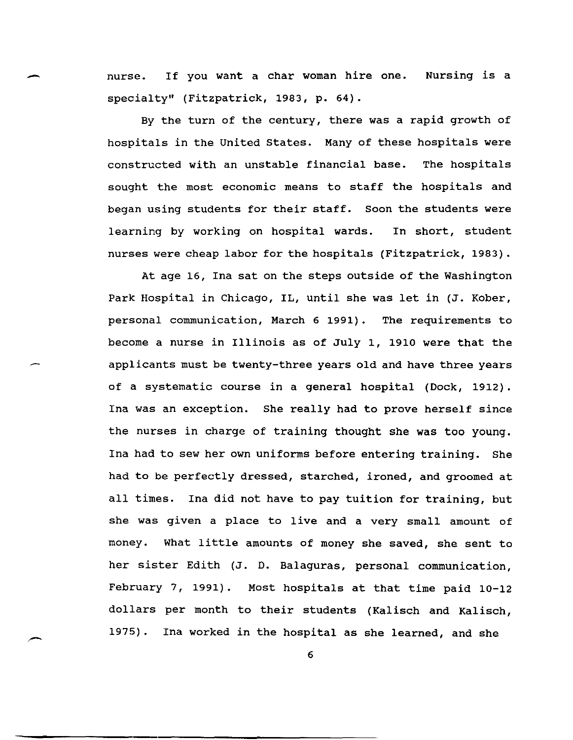- nurse. If you want a char woman hire one. specialty" (Fitzpatrick, 1983, p. 64). Nursing is a

> By the turn of the century, there was a rapid growth of hospitals in the United states. Many of these hospitals were constructed with an unstable financial base. The hospitals sought the most economic means to staff the hospitals and began using students for their staff. Soon the students were learning by working on hospital wards. In short, student nurses were cheap labor for the hospitals (Fitzpatrick, 1983).

> At age 16, Ina sat on the steps outside of the Washington Park Hospital in Chicago, IL, until she was let in (J. Kober, personal communication, March 6 1991). The requirements to become a nurse in Illinois as of July 1, 1910 were that the applicants must be twenty-three years old and have three years of a systematic course in a general hospital (Dock, 1912). Ina was an exception. She really had to prove herself since the nurses in charge of training thought she was too young. Ina had to sew her own uniforms before entering training. She had to be perfectly dressed, starched, ironed, and groomed at all times. Ina did not have to pay tuition for training, but she was given a place to live and a very small amount of money. What little amounts of money she saved, she sent to her sister Edith (J. D. Balaguras, personal communication, February 7, 1991). Most hospitals at that time paid 10-12 dollars per month to their students (Kalisch and Kalisch, 1975). Ina worked in the hospital as she learned, and she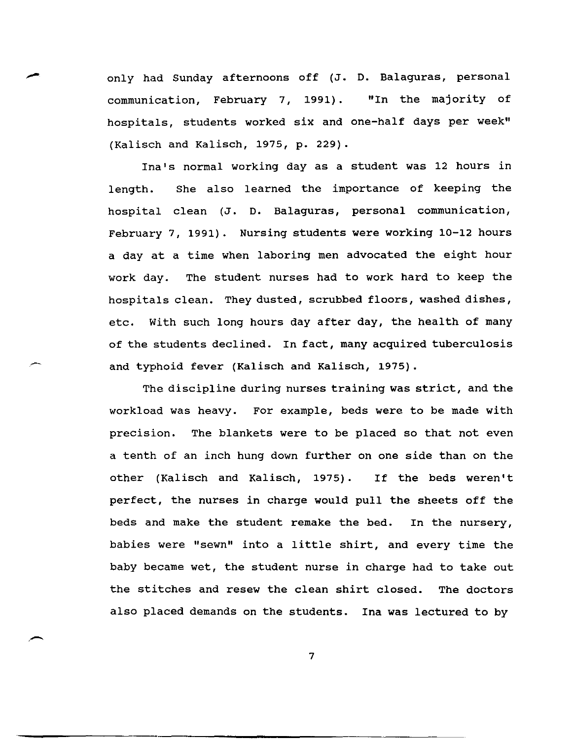only had Sunday afternoons off (J. D. Balaguras, personal<br>communication. February 7, 1991). "In the majority of communication, February 7, 1991). hospitals, students worked six and one-half days per week" (Kalisch and Kalisch, 1975, p. 229).

Ina's normal working day as a student was 12 hours in length. She also learned the importance of keeping the hospital clean (J. D. Balaguras, personal communication, February 7, 1991). Nursing students were working 10-12 hours a day at a time when laboring men advocated the eight hour work day. The student nurses had to work hard to keep the hospitals clean. They dusted, scrubbed floors, washed dishes, etc. with such long hours day after day, the health of many of the students declined. In fact, many acquired tuberculosis and typhoid fever (Kalisch and Kalisch, 1975).

The discipline during nurses training was strict, and the workload was heavy. For example, beds were to be made with precision. The blankets were to be placed so that not even a tenth of an inch hung down further on one side than on the other (Kalisch and Kalisch, 1975). If the beds weren't perfect, the nurses in charge would pull the sheets off the beds and make the student remake the bed. In the nursery, babies were "sewn" into a little shirt, and every time the baby became wet, the student nurse in charge had to take out the stitches and resew the clean shirt closed. The doctors also placed demands on the students. Ina was lectured to by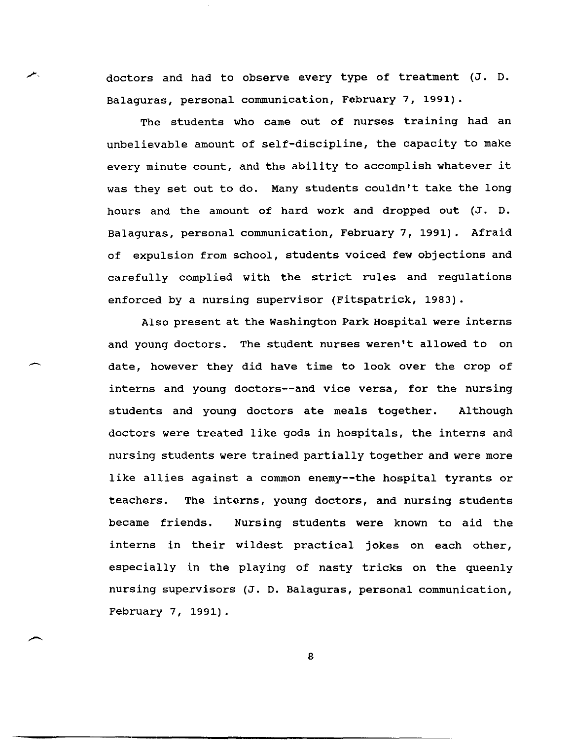doctors and had to observe every type of treatment (J. D. Balaguras, personal communication, February 7, 1991).

₩.

The students who came out of nurses training had an unbelievable amount of self-discipline, the capacity to make every minute count, and the ability to accomplish whatever it was they set out to do. Many students couldn't take the long hours and the amount of hard work and dropped out (J. D. Balaguras, personal communication, February 7, 1991). Afraid of expulsion from school, students voiced few objections and carefully complied with the strict rules and regulations enforced by a nursing supervisor (Fitspatrick, 1983).

Also present at the Washington Park Hospital were interns and young doctors. The student nurses weren't allowed to on date, however they did have time to look over the crop of interns and young doctors--and vice versa, for the nursing students and young doctors ate meals together. Although doctors were treated like gods in hospitals, the interns and nursing students were trained partially together and were more like allies against a common enemy--the hospital tyrants or teachers. The interns, young doctors, and nursing students became friends. Nursing students were known to aid the interns in their wildest practical jokes on each other, especially in the playing of nasty tricks on the queenly nursing supervisors (J. D. Balaguras, personal communication, February 7, 1991).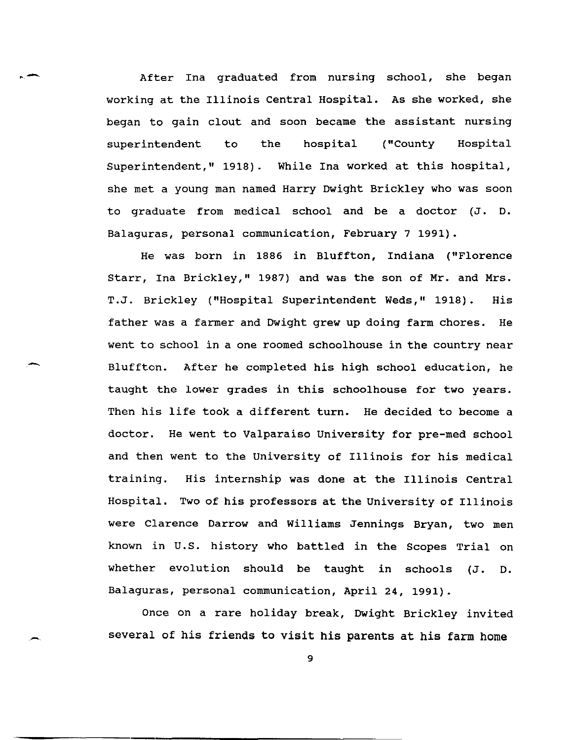After Ina graduated from nursing school, she began working at the Illinois Central Hospital. As she worked, she began to gain clout and soon became the assistant nursing superintendent to the hospital ("County Hospital Superintendent," 1918). While Ina worked at this hospital, she met a young man named Harry Dwight Brickley who was soon to graduate from medical school and be a doctor (J. D. Balaguras, personal communication, February 7 1991).

He was born in 1886 in Bluffton, Indiana ("Florence Starr, Ina Brickley," 1987) and was the son of Mr. and Mrs. T.J. Brickley ("Hospital Superintendent Weds," 1918). His father was a farmer and Dwight grew up doing farm chores. He went to school in a one roomed schoolhouse in the country near Bluffton. After he completed his high school education, he taught the lower grades in this schoolhouse for two years. Then his life took a different turn. He decided to become a doctor. He went to Valparaiso University for pre-med school and then went to the University of Illinois for his medical training. His internship was done at the Illinois Central Hospital. Two of his professors at the University of Illinois were Clarence Darrow and Williams Jennings Bryan, two men known in U. S. history who battled in the Scopes Trial on whether evolution should be taught in schools (J. D. Balaguras, personal communication, April 24, 1991).

Once on a rare holiday break, Dwight Brickley invited several of his friends to visit his parents at his farm home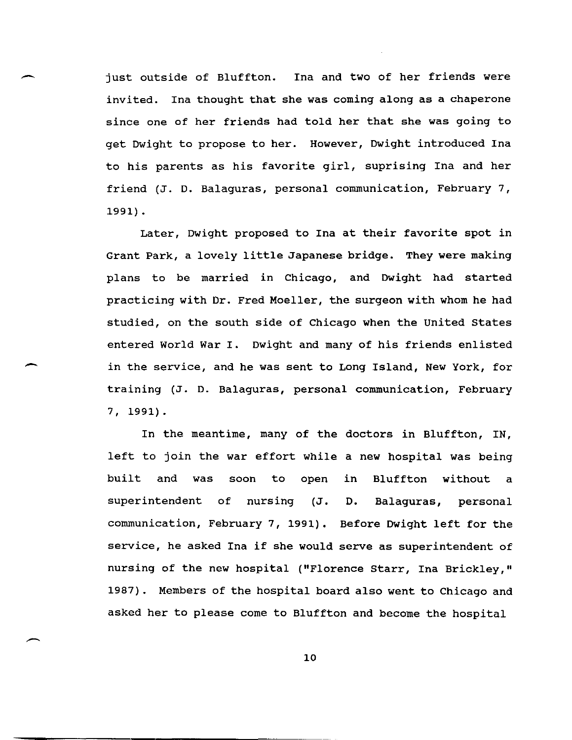just outside of Bluffton. Ina and two of her friends were invited. Ina thought that she was coming along as a chaperone since one of her friends had told her that she was going to get Dwight to propose to her. However, Dwight introduced Ina to his parents as his favorite girl, suprising Ina and her friend (J. D. Balaguras, personal communication, February 7, 1991) .

Later, Dwight proposed to Ina at their favorite spot in Grant Park, a lovely little Japanese bridge. They were making plans to be married in Chicago, and Dwight had started practicing with Dr. Fred Moeller, the surgeon with whom he had studied, on the south side of Chicago when the united states entered World War I. Dwight and many of his friends enlisted in the service, and he was sent to Long Island, New York, for training (J. D. Balaguras, personal communication, February 7,1991).

 $\overline{\phantom{0}}$ 

 $\overline{\phantom{0}}$ 

In the meantime, many of the doctors in Bluffton, IN, left to join the war effort while a new hospital was being built and was soon to open in Bluffton without a superintendent of nursing (J. communication, February 7, 1991). Before Dwight left for the D. Balaguras, personal service, he asked Ina if she would serve as superintendent of nursing of the new hospital ("Florence starr, Ina Brickley," 1987). Members of the hospital board also went to Chicago and asked her to please come to Bluffton and become the hospital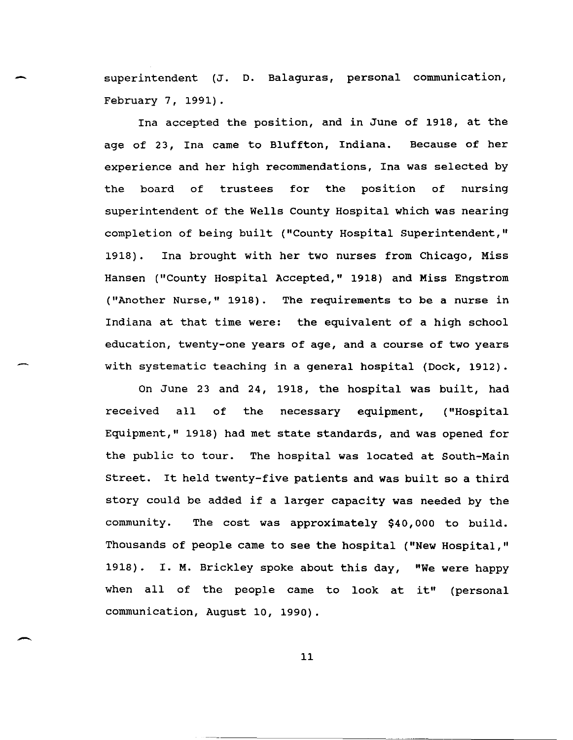superintendent (J. D. Balaguras, personal communication, February 7, 1991).

Ina accepted the position, and in June of 1918, at the age of 23, Ina came to Bluffton, Indiana. Because of her experience and her high recommendations, Ina was selected by the board of trustees for the position of nursing superintendent of the Wells County Hospital which was nearing completion of being built ("County Hospital superintendent," 1918). Ina brought with her two nurses from Chicago, Miss Hansen ("County Hospital Accepted," 1918) and Miss Engstrom ("Another Nurse," 1918). The requirements to be a nurse in Indiana at that time were: the equivalent of a high school education, twenty-one years of age, and a course of two years with systematic teaching in a general hospital (Dock, 1912).

On June 23 and 24, 1918, the hospital was built, had received all of the necessary equipment, ("Hospital Equipment," 1918) had met state standards, and was opened for the public to tour. The hospital was located at south-Main street. It held twenty-five patients and was built so a third story could be added if a larger capacity was needed by the community. The cost was approximately \$40,000 to build. Thousands of people came to see the hospital ("New Hospital," 1918). 1. M. Brickley spoke about this day, "We were happy when all of the people came to look at it" (personal communication, August 10, 1990).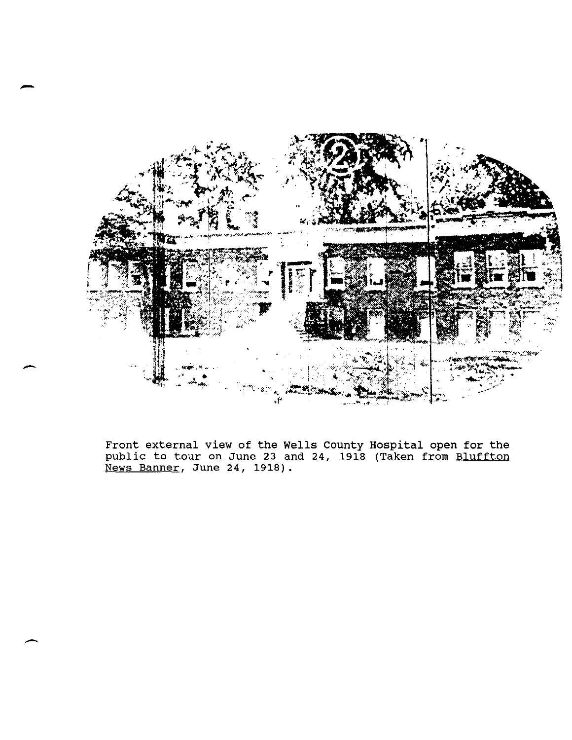

-

Front external view of the Wells County Hospital open for the public to tour on June 23 and 24, 1918 (Taken from Bluffton .<br><u>News Banner</u>, June 24, 1918).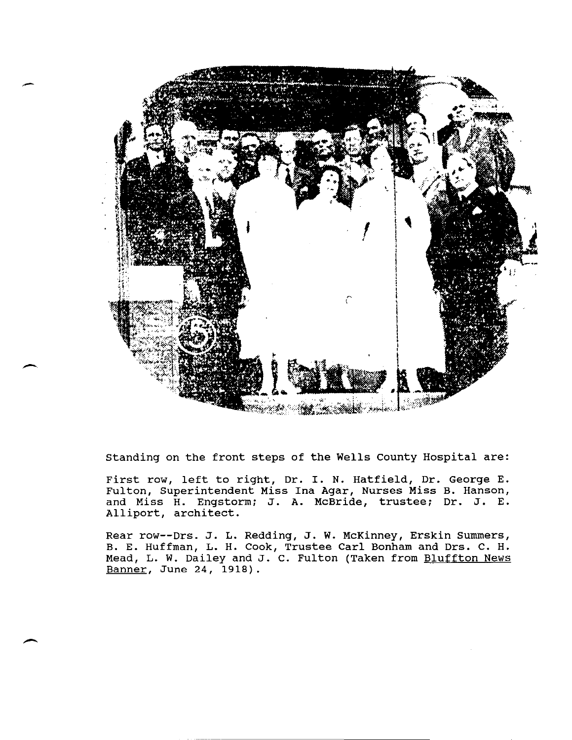

standing on the front steps of the Wells county Hospital are:

-

 $\overline{\phantom{0}}$ 

First row, left to right, Dr. I. N. Hatfield, Dr. George E. Fulton, Superintendent Miss Ina Agar, Nurses Miss B. Hanson, and Miss H. Engstorm; J. A. McBride, trustee; Dr. J. E. Alliport, architect.

Rear row--Drs. J. L. Redding, J. W. McKinney, Erskin Summers, B. E. Huffman, L. H. Cook, Trustee Carl Bonham and Drs. C. H. Mead, L. W. Dailey and J. C. Fulton (Taken from Bluffton News Banner, June 24, 1918).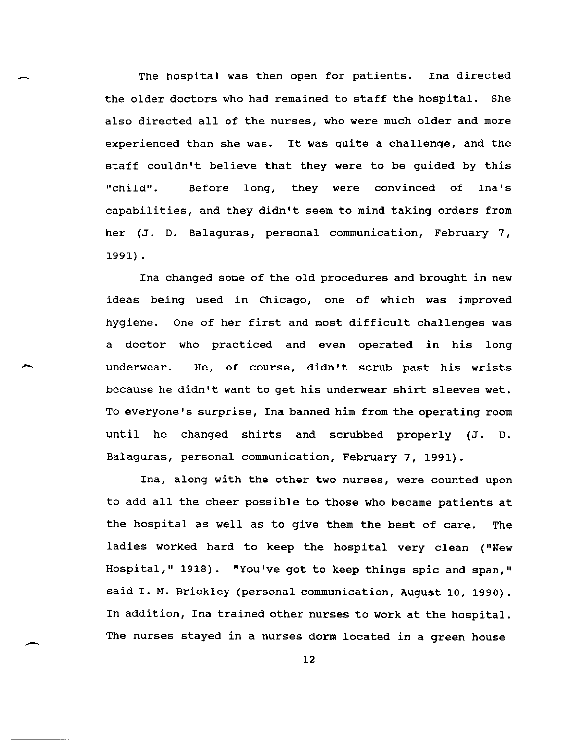The hospital was then open for patients. Ina directed the older doctors who had remained to staff the hospital. She also directed all of the nurses, who were much older and more experienced than she was. It was quite a challenge, and the staff couldn't believe that they were to be guided by this "child". Before long, they were convinced of Ina's capabilities, and they didn't seem to mind taking orders from her (J. D. Balaguras, personal communication, February 7, 1991) .

Ina changed some of the old procedures and brought in new ideas being used in Chicago, one of which was improved hygiene. One of her first and most difficult challenges was a doctor who practiced and even operated in his long underwear. He, of course, didn't scrub past his wrists because he didn't want to get his underwear shirt sleeves wet. To everyone's surprise, Ina banned him from the operating room until he changed shirts and scrubbed properly (J. D. Balaguras, personal communication, February 7, 1991).

Ina, along with the other two nurses, were counted upon to add all the cheer possible to those who became patients at the hospital as well as to give them the best of care. The ladies worked hard to keep the hospital very clean ("New Hospital," 1918). "You've got to keep things spic and span," said I. M. Brickley (personal communication, August 10, 1990). In addition, Ina trained other nurses to work at the hospital. The nurses stayed in a nurses dorm located in a green house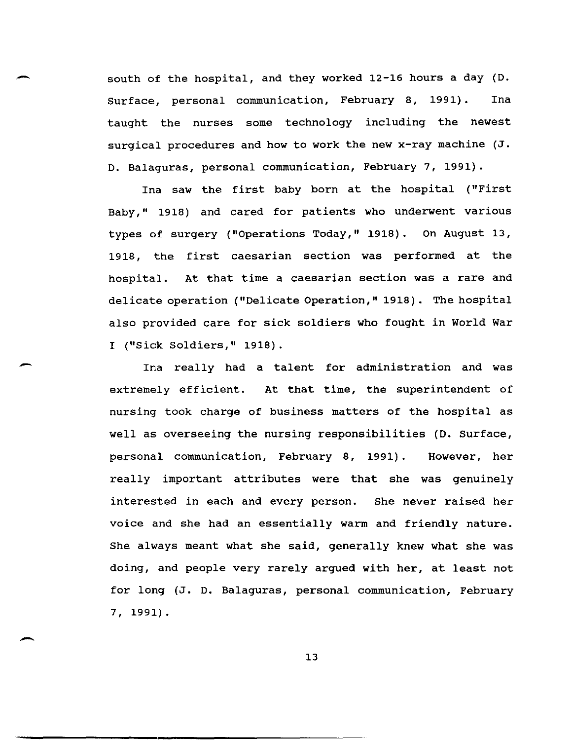south of the hospital, and they worked 12-16 hours a day (D. Surface, personal communication, February 8, 1991). Ina taught the nurses some technology including the newest surgical procedures and how to work the new x-ray machine (J. D. Balaguras, personal communication, February 7, 1991).

-

--

-

Ina saw the first baby born at the hospital ("First Baby," 1918) and cared for patients who underwent various types of surgery ("Operations Today," 1918). On August 13, 1918, the first caesarian section was performed at the hospital. At that time a caesarian section was a rare and delicate operation ("Delicate Operation," 1918). The hospital also provided care for sick soldiers who fought in World War I ("Sick Soldiers," 1918).

Ina really had a talent for administration and was extremely efficient. At that time, the superintendent of nursing took charge of business matters of the hospital as well as overseeing the nursing responsibilities (D. Surface, personal communication, February 8, 1991). However, her really important attributes were that she was genuinely interested in each and every person. She never raised her voice and she had an essentially warm and friendly nature. She always meant what she said, generally knew what she was doing, and people very rarely argued with her, at least not for long (J. D. Balaguras, personal communication, February 7, 1991).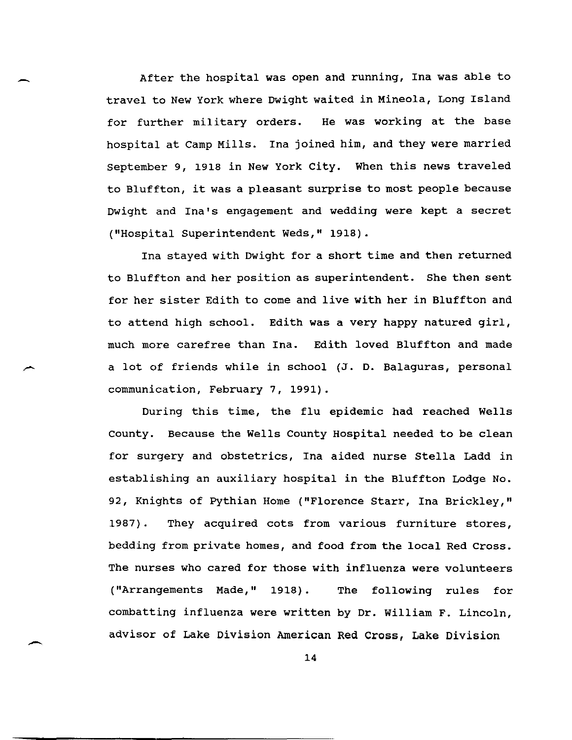After the hospital was open and running, Ina was able to travel to New York where Dwight waited in Mineola, Long Island for further military orders. He was working at the base hospital at Camp Mills. Ina joined him, and they were married september 9, 1918 in New York City. When this news traveled to Bluffton, it was a pleasant surprise to most people because Dwight and Ina's engagement and wedding were kept a secret ("Hospital Superintendent Weds," 1918).

Ina stayed with Dwight for a short time and then returned to Bluffton and her position as superintendent. She then sent for her sister Edith to come and live with her in Bluffton and to attend high school. Edith was a very happy natured girl, much more carefree than Ina. Edith loved Bluffton and made a lot of friends while in school (J. D. Balaguras, personal communication, February 7, 1991).

During this time, the flu epidemic had reached Wells County. Because the Wells County Hospital needed to be clean for surgery and obstetrics, Ina aided nurse Stella Ladd in establishing an auxiliary hospital in the Bluffton Lodge No. 92, Knights of Pythian Home ("Florence Starr, Ina Brickley," 1987) . They acquired cots from various furniture stores, bedding from private homes, and food from the local Red Cross. The nurses who cared for those with influenza were volunteers ("Arrangements Made," 1918). The following rules for combatting influenza were written by Dr. William F. Lincoln, advisor of Lake Division American Red Cross, Lake Division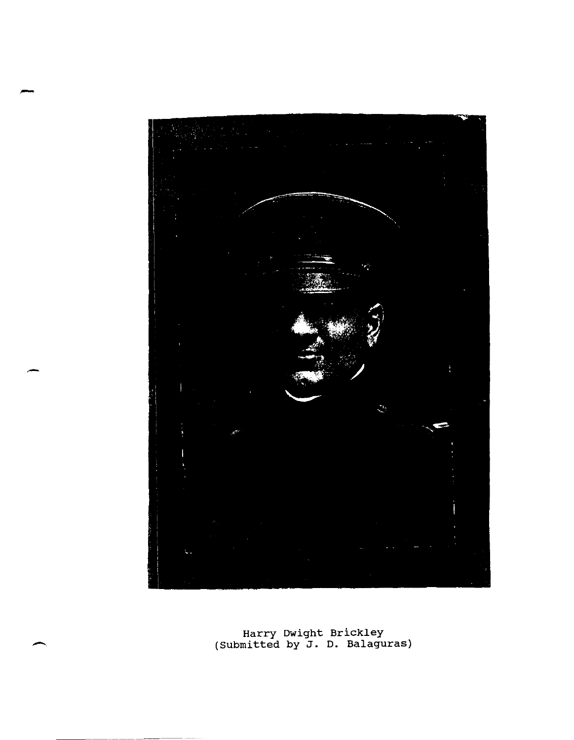

Harry Dwight Brickley<br>(Submitted by J. D. Balagu) (Submitted by J. D. Balaguras)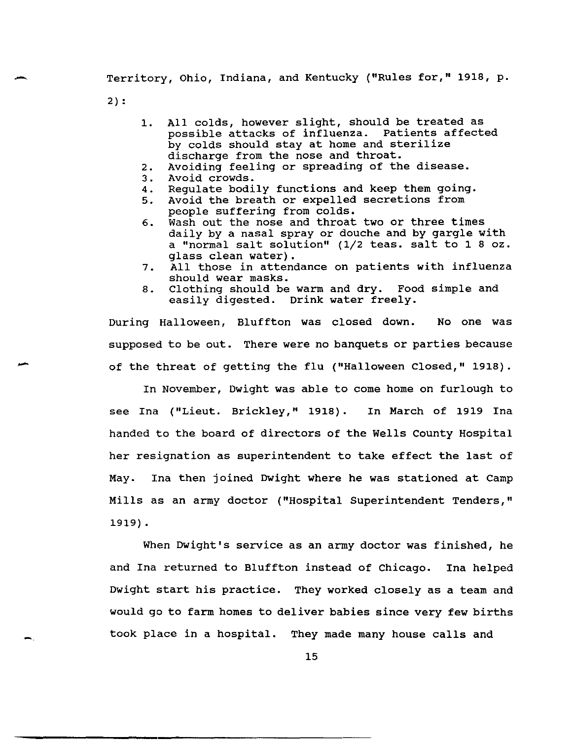Territory, Ohio, Indiana, and Kentucky ("Rules for," 1918, p.

2) :

--

-

-

- 1. All colds, however slight, should be treated as possible attacks of influenza. Patients affected by colds should stay at home and sterilize discharge from the nose and throat.
- 2. Avoiding feeling or spreading of the disease.
- 3. Avoid crowds.
- 4. Regulate bodily functions and keep them going.
- 5. Avoid the breath or expelled secretions from people suffering from colds.
- 6. Wash out the nose and throat two or three times daily by a nasal spray or douche and by gargle with a "normal salt solution" (1/2 teas. salt to 1 8 oz. glass clean water).
- 7. All those in attendance on patients with influenza should wear masks.
- 8. Clothing should be warm and dry. Food simple and easily digested. Drink water freely.

During Halloween, Bluffton was closed down. No one was supposed to be out. There were no banquets or parties because of the threat of getting the flu ("Halloween Closed," 1918).

In November, Dwight was able to come home on furlough to see Ina ("Lieut. Brickley," 1918). In March of 1919 Ina handed to the board of directors of the Wells County Hospital her resignation as superintendent to take effect the last of May. Ina then joined Dwight where he was stationed at Camp Mills as an army doctor ("Hospital Superintendent Tenders," 1919) .

When Dwight's service as an army doctor was finished, he and Ina returned to Bluffton instead of Chicago. Ina helped Dwight start his practice. They worked closely as a team and would go to farm homes to deliver babies since very few births took place in a hospital. They made many house calls and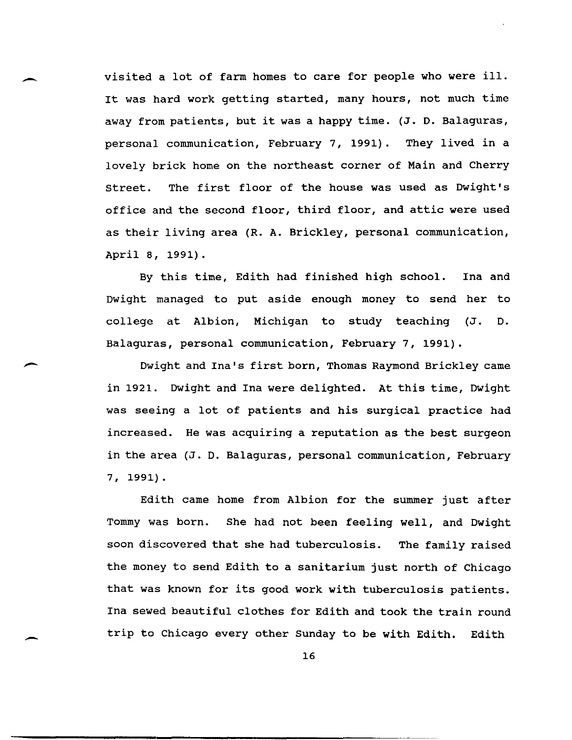visited a lot of farm homes to care for people who were ill. It was hard work getting started, many hours, not much time away from patients, but it was a happy time. (J. D. Balaguras, personal communication, February 7, 1991). They lived in a lovely brick home on the northeast corner of Main and Cherry street. The first floor of the house was used as Dwight's office and the second floor, third floor, and attic were used as their living area (R. A. Brickley, personal communication, April 8, 1991).

By this time, Edith had finished high school. Ina and Dwight managed to put aside enough money to send her to college at Albion, Michigan to study teaching (J. D. Balaguras, personal communication, February 7,1991).

-

-

Dwight and Ina's first born, Thomas Raymond Brickley came in 1921. Dwight and Ina were delighted. At this time, Dwight was seeing a lot of patients and his surgical practice had increased. He was acquiring a reputation as the best surgeon in the area (J. D. Balaguras, personal communication, February 7, 1991).

Edith came home from Albion for the summer just after Tommy was born. She had not been feeling well, and Dwight soon discovered that she had tuberculosis. The family raised the money to send Edith to a sanitarium just north of Chicago that was known for its good work with tuberculosis patients. Ina sewed beautiful clothes for Edith and took the train round trip to Chicago every other Sunday to be with Edith. Edith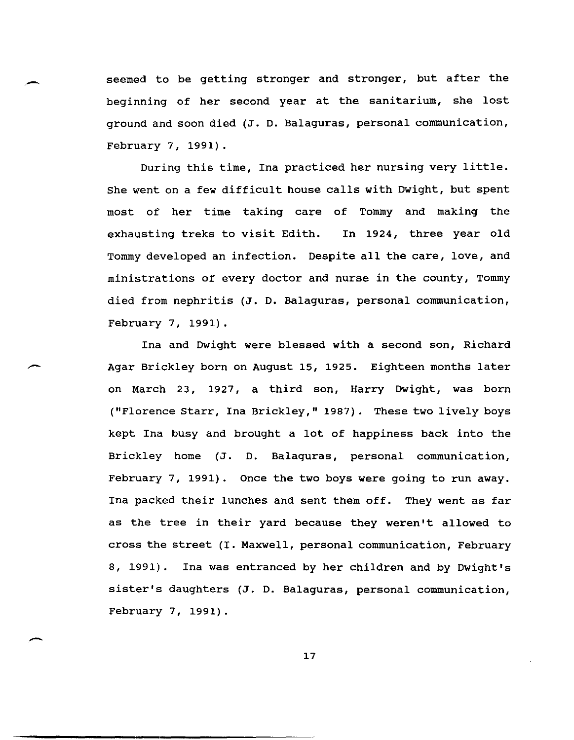seemed to be getting stronger and stronger, but after the beginning of her second year at the sanitarium, she lost ground and soon died (J. D. Balaguras, personal communication, February 7, 1991).

 $\overline{\phantom{a}}$ 

-

During this time, Ina practiced her nursing very little. She went on a few difficult house calls with Dwight, but spent most of her time taking care of Tommy and making the exhausting treks to visit Edith. In 1924, three year old Tommy developed an infection. Despite all the care, love, and ministrations of every doctor and nurse in the county, Tommy died from nephritis (J. D. Balaguras, personal communication, February 7, 1991).

Ina and Dwight were blessed with a second son, Richard Agar Brickley born on August 15, 1925. Eighteen months later on March 23, 1927, a third son, Harry Dwight, was born ("Florence Starr, Ina Brickley," 1987). These two lively boys kept Ina busy and brought a lot of happiness back into the Brickley home (J. D. Balaguras, personal communication, February 7, 1991). Once the two boys were going to run away. Ina packed their lunches and sent them off. They went as far as the tree in their yard because they weren't allowed to cross the street (I. Maxwell, personal communication, February 8, 1991). Ina was entranced by her children and by Dwight's sister's daughters (J. D. Balaguras, personal communication, February 7, 1991).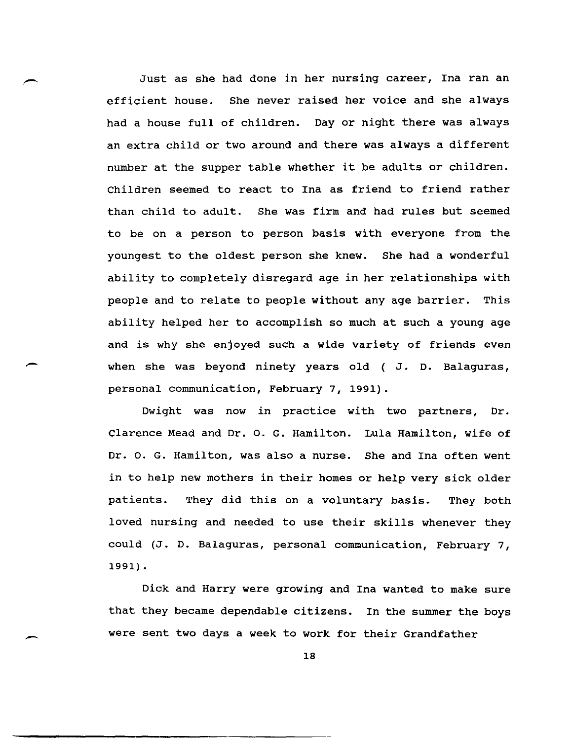Just as she had done in her nursing career, Ina ran an efficient house. She never raised her voice and she always had a house full of children. Day or night there was always an extra child or two around and there was always a different number at the supper table whether it be adults or children. Children seemed to react to Ina as friend to friend rather than child to adult. She was firm and had rules but seemed to be on a person to person basis with everyone from the youngest to the oldest person she knew. She had a wonderful ability to completely disregard age in her relationships with people and to relate to people without any age barrier. This ability helped her to accomplish so much at such a young age and is why she enjoyed such a wide variety of friends even when she was beyond ninety years old ( J. D. Balaguras, personal communication, February 7, 1991).

-

--

Dwight was now in practice with two partners, Dr. Clarence Mead and Dr. O. G. Hamilton. Lula Hamilton, wife of Dr. O. G. Hamilton, was also a nurse. She and Ina often went in to help new mothers in their homes or help very sick older patients. They did this on a voluntary basis. They both loved nursing and needed to use their skills whenever they could (J. D. Balaguras, personal communication, February 7, 1991) .

Dick and Harry were growing and Ina wanted to make sure that they became dependable citizens. In the summer the boys were sent two days a week to work for their Grandfather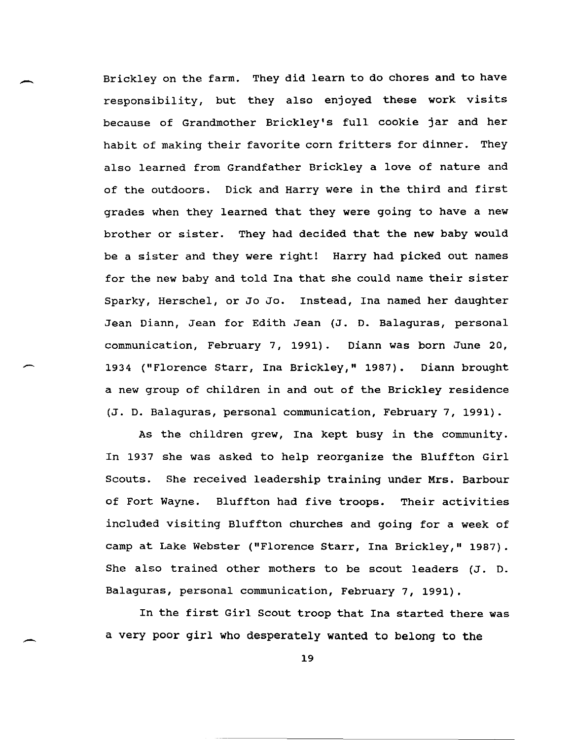Brickley on the farm. They did learn to do chores and to have responsibility, but they also enjoyed these work visits because of Grandmother Brickley's full cookie jar and her habit of making their favorite corn fritters for dinner. They also learned from Grandfather Brickley a love of nature and of the outdoors. Dick and Harry were in the third and first grades when they learned that they were going to have a new brother or sister. They had decided that the new baby would be a sister and they were right! Harry had picked out names for the new baby and told Ina that she could name their sister Sparky, Herschel, or Jo Jo. Instead, Ina named her daughter Jean Diann, Jean for Edith Jean (J. D. Balaguras, personal communication, February 7, 1991). Diann was born June 20, 1934 ("Florence Starr, Ina Brickley," 1987). Diann brought a new group of children in and out of the Brickley residence (J. D. Balaguras, personal communication, February 7, 1991).

As the children grew, Ina kept busy in the community. In 1937 she was asked to help reorganize the Bluffton Girl Scouts. She received leadership training under Mrs. Barbour of Fort Wayne. Bluffton had five troops. Their activities included visiting Bluffton churches and going for a week of camp at Lake Webster ("Florence starr, Ina Brickley," 1987). She also trained other mothers to be scout leaders (J. D. Balaguras, personal communication, February 7, 1991).

In the first Girl Scout troop that Ina started there was a very poor girl who desperately wanted to belong to **the**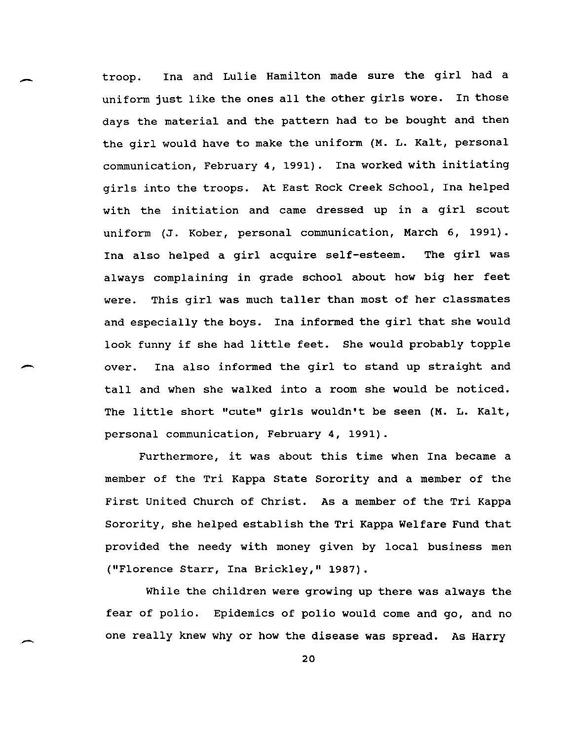troop. Ina and Lulie Hamilton made sure the girl had a uniform just like the ones all the other girls wore. In those days the material and the pattern had to be bought and then the girl would have to make the uniform (M. L. Kalt, personal communication, February 4, 1991). Ina worked with initiating girls into the troops. At East Rock Creek School, Ina helped with the initiation and came dressed up in a girl scout uniform (J. Kober, personal communication, March 6, 1991). Ina also helped a girl acquire self-esteem. The girl was always complaining in grade school about how big her feet were. This girl was much taller than most of her classmates and especially the boys. Ina informed the girl that she would look funny if she had little feet. She would probably topple over. Ina also informed the girl to stand up straight and tall and when she walked into a room she would be noticed. The little short "cute" girls wouldn't be seen (M. L. Kalt, personal communication, February 4, 1991).

Furthermore, it was about this time when Ina became a member of the Tri Kappa State Sorority and a member of the First united Church of Christ. As a member of the Tri Kappa Sorority, she helped establish the Tri Kappa Welfare Fund that provided the needy with money given by local business men ("Florence Starr, Ina Brickley," 1987).

While the children were growing up there was always the fear of polio. Epidemics of polio would come and go, and no one really knew why or how the disease was spread. As Harry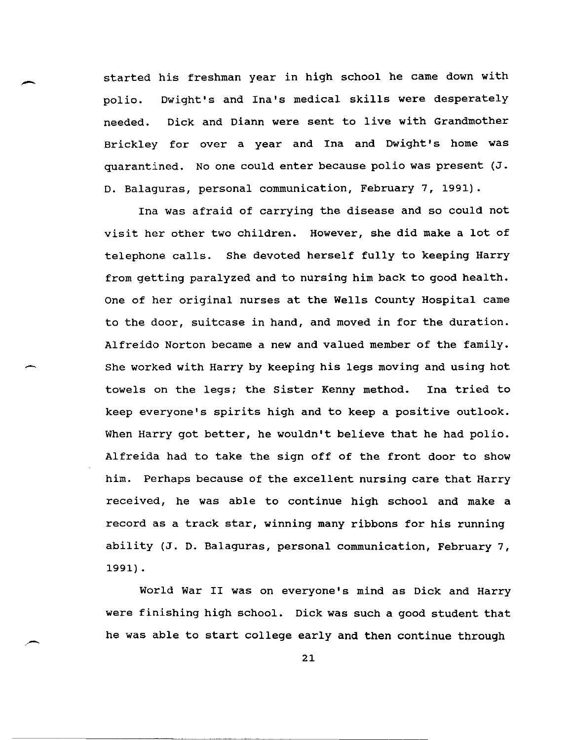started his freshman year in high school he came down with<br>polio. Dwight's and Ina's medical skills were desperately Dwight's and Ina's medical skills were desperately needed. Dick and Diann were sent to live with Grandmother Brickley for over a year and Ina and Dwight's home was quarantined. No one could enter because polio was present (J. D. Balaguras, personal communication, February 7, 1991).

Ina was afraid of carrying the disease and so could not visit her other two children. However, she did make a lot of telephone calls. She devoted herself fully to keeping Harry from getting paralyzed and to nursing him back to good health. One of her original nurses at the Wells County Hospital came to the door, suitcase in hand, and moved in for the duration. Alfreido Norton became a new and valued member of the family. She worked with Harry by keeping his legs moving and using hot towels on the legs; the sister Kenny method. Ina tried to keep everyone's spirits high and to keep a positive outlook. When Harry got better, he wouldn't believe that he had polio. Alfreida had to take the sign off of the front door to show him. Perhaps because of the excellent nursing care that Harry received, he was able to continue high school and make a record as a track star, winning many ribbons for his running ability (J. D. Balaguras, personal communication, February 7, 1991) .

World War II was on everyone's mind as Dick and Harry were finishing high school. Dick was such a good student that he was able to start college early and then continue through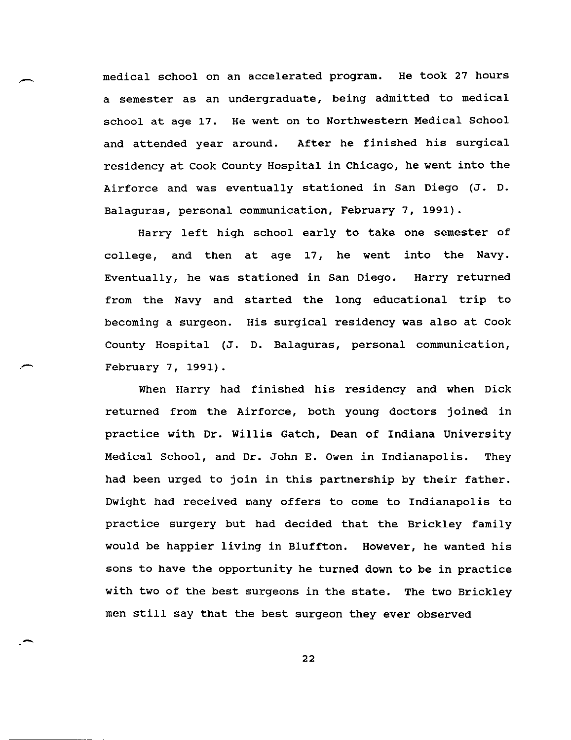medical school on an accelerated program. He took 27 hours a semester as an undergraduate, being admitted to medical school at age 17. He went on to Northwestern Medical School and attended year around. After he finished his surgical residency at Cook County Hospital in Chicago, he went into the Airforce and was eventually stationed in San Diego (J. D. Balaguras, personal communication, February 7, 1991).

Harry left high school early to take one semester of college, and then at age 17, he went into the Navy. Eventually, he was stationed in San Diego. Harry returned from the Navy and started the long educational trip to becoming a surgeon. His surgical residency was also at Cook County Hospital (J. D. Balaguras, personal communication, February 7, 1991).

When Harry had finished his residency and when Dick returned from the Airforce, both young doctors joined in practice with Dr. willis Gatch, Dean of Indiana University Medical School, and Dr. John E. Owen in Indianapolis. They had been urged to join in this partnership by their father. Dwight had received many offers to come to Indianapolis to practice surgery but had decided that the Brickley family would be happier living in Bluffton. However, he wanted his sons to have the opportunity he turned down to be in practice with two of the best surgeons in the state. The two Brickley men still say that the best surgeon they ever observed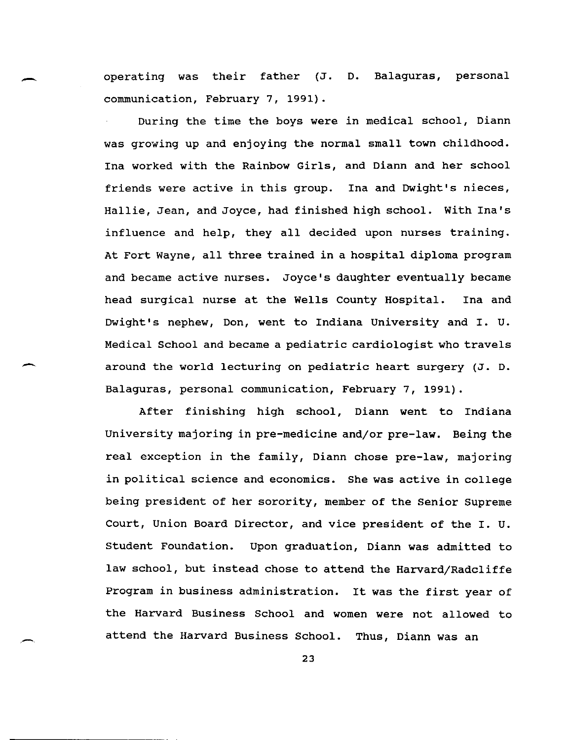operating was their father (J. D. Balaguras, personal communication, February 7, 1991).

-

-

During the time the boys were in medical school, Diann was growing up and enjoying the normal small town childhood. Ina worked with the Rainbow Girls, and Diann and her school friends were active in this group. Ina and Dwight's nieces, Hallie, Jean, and Joyce, had finished high school. with Ina's influence and help, they all decided upon nurses training. At Fort Wayne, all three trained in a hospital diploma program and became active nurses. Joyce's daughter eventually became head surgical nurse at the Wells County Hospital. Ina and Dwight's nephew, Don, went to Indiana University and I. U. Medical School and became a pediatric cardiologist who travels around the world lecturing on pediatric heart surgery (J. D. Balaguras, personal communication, February 7, 1991).

After finishing high school, Diann went to Indiana University majoring in pre-medicine and/or pre-law. Being the real exception in the family, Diann chose pre-law, majoring in political science and economics. She was active in college being president of her sorority, member of the Senior supreme Court, Union Board Director, and vice president of the I. U. Student Foundation. Upon graduation, Diann was admitted to law school, but instead chose to attend the Harvard/Radcliffe Program in business administration. It was the first year of the Harvard Business School and women were not allowed to attend the Harvard Business School. Thus, Diann was an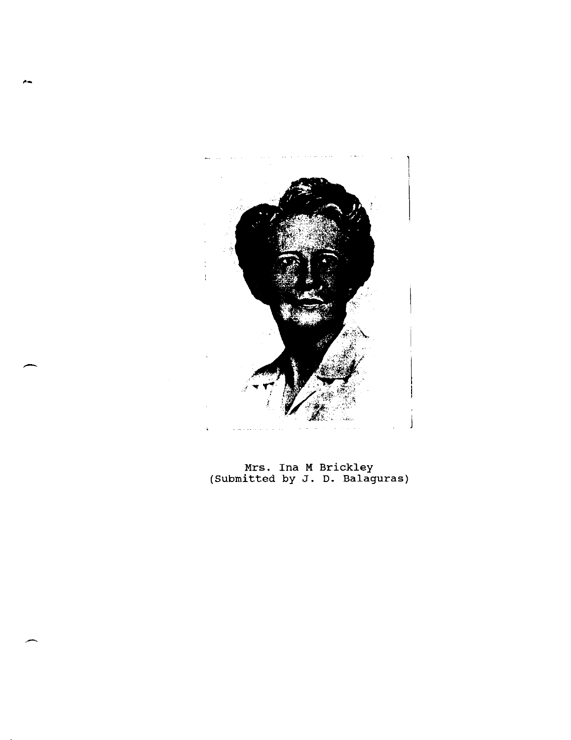

Mrs. Ina M Brickley (Submitted by J. D. Balaguras)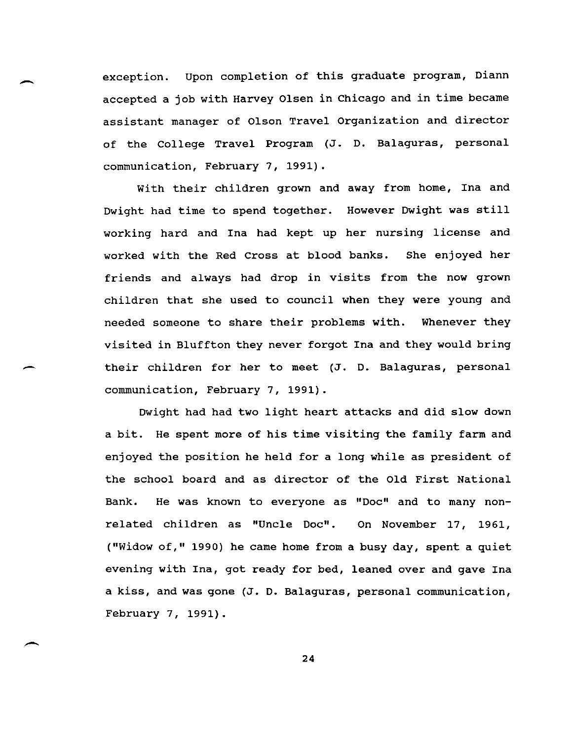exception. upon completion of this graduate program, Diann accepted a job with Harvey Olsen in chicago and in time became assistant manager of Olson Travel organization and director of the College Travel Program (J. D. Balaguras, personal communication, February 7, 1991).

-

-

--

With their children grown and away from home, Ina and Dwight had time to spend together. However Dwight was still working hard and Ina had kept up her nursing license and worked with the Red Cross at blood banks. She enjoyed her friends and always had drop in visits from the now grown children that she used to council when they were young and needed someone to share their problems with. Whenever they visited in Bluffton they never forgot Ina and they would bring their children for her to meet (J. D. Balaguras, personal communication, February 7, 1991).

Dwight had had two light heart attacks and did slow down a bit. He spent more of his time visiting the family farm and enjoyed the position he held for a long while as president of the school board and as director of the Old First National Bank. He was known to everyone as "Doc" and to many nonrelated children as "Uncle Doc". On November 17, 1961, ("Widow of," 1990) he came home from a busy day, spent a quiet evening with Ina, got ready for bed, leaned over and gave Ina a kiss, and was gone (J. D. Balaguras, personal communication, February 7, 1991).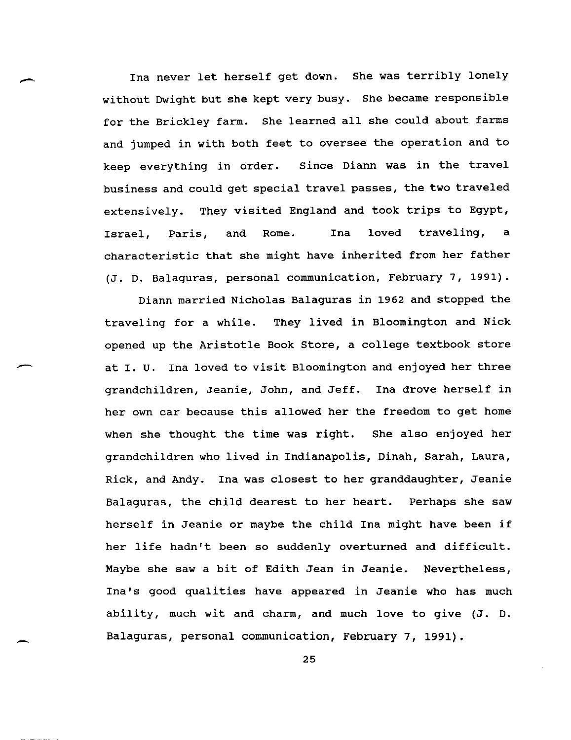Ina never let herself get down. She was terribly lonely without Dwight but she kept very busy. She became responsible for the Brickley farm. She learned all she could about farms and jumped in with both feet to oversee the operation and to keep everything in order. Since Diann was in the travel business and could get special travel passes, the two traveled extensively. They visited England and took trips to Egypt, Israel, Paris, and Rome. Ina loved traveling, a characteristic that she might have inherited from her father (J. D. Balaguras, personal communication, February 7, 1991).

--

-

Diann married Nicholas Balaguras in 1962 and stopped the traveling for a while. They lived in Bloomington and Nick opened up the Aristotle Book Store, a college textbook store at I. U. Ina loved to visit Bloomington and enjoyed her three grandchildren, Jeanie, John, and Jeff. Ina drove herself in her own car because this allowed her the freedom to get home when she thought the time was right. She also enjoyed her grandchildren who lived in Indianapolis, Dinah, Sarah, Laura, Rick, and Andy. Ina was closest to her granddaughter, Jeanie Balaguras, the child dearest to her heart. Perhaps she saw herself in Jeanie or maybe the child Ina might have been if her life hadn't been so suddenly overturned and difficult. Maybe she saw a bit of Edith Jean in Jeanie. Nevertheless, Ina's good qualities have appeared in Jeanie who has much ability, much wit and charm, and much love to give (J. D. Balaguras, personal communication, February 7, 1991).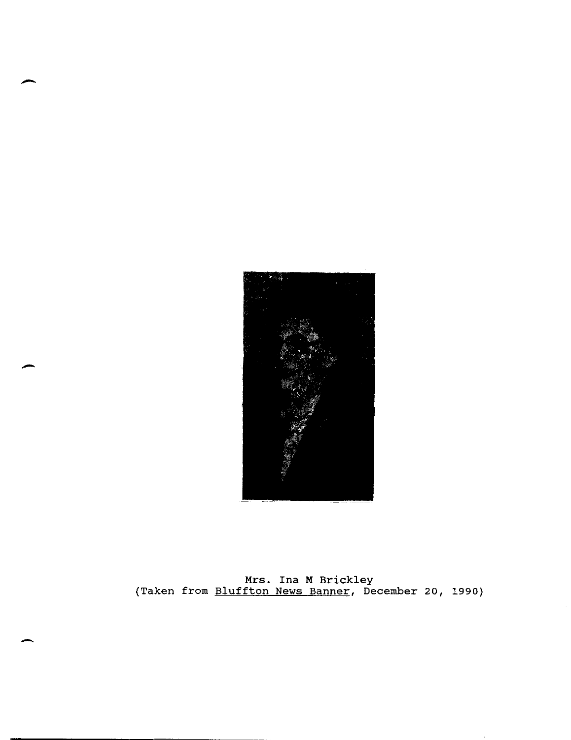

Mrs. Ina M Brickley (Taken from Bluffton News Banner, December 20, 1990)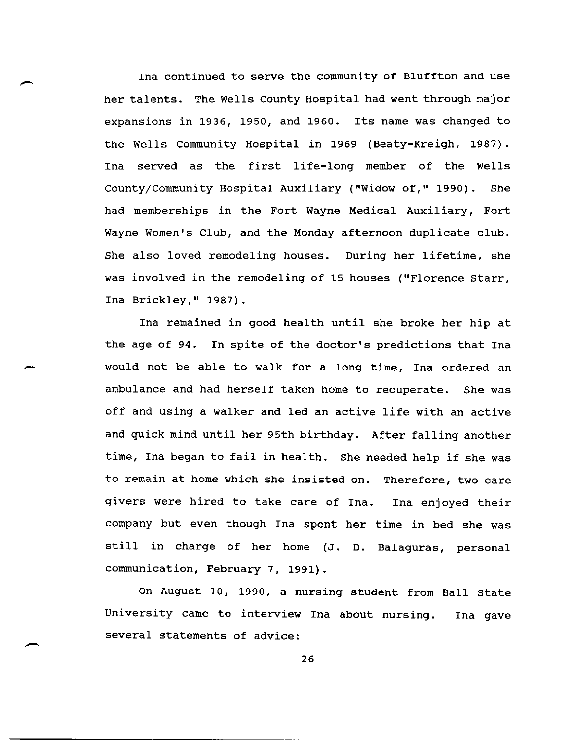Ina continued to serve the community of Bluffton and use her talents. The Wells County Hospital had went through major expansions in 1936, 1950, and 1960. Its name was changed to the Wells community Hospital in 1969 (Beaty-Kreigh, 1987). Ina served as the first life-long member of the Wells County/Community Hospital Auxiliary ("Widow of," 1990). She had memberships in the Fort Wayne Medical Auxiliary, Fort Wayne Women's Club, and the Monday afternoon duplicate club. She also loved remodeling houses. During her lifetime, she was involved in the remodeling of 15 houses ("Florence Starr, Ina Brickley," 1987).

-

-

Ina remained in good health until she broke her hip at the age of 94. In spite of the doctor's predictions that Ina would not be able to walk for a long time, Ina ordered an ambulance and had herself taken home to recuperate. She was off and using a walker and led an active life with an active and quick mind until her 95th birthday. After falling another time, Ina began to fail in health. She needed help if she was to remain at home which she insisted on. Therefore, two care givers were hired to take care of Ina. Ina enjoyed their company but even though Ina spent her time in bed she was still in charge of her home (J. D. Balaguras, personal communication, February 7, 1991).

On August 10, 1990, a nursing student from Ball State University came to interview Ina about nursing. several statements of advice: Ina gave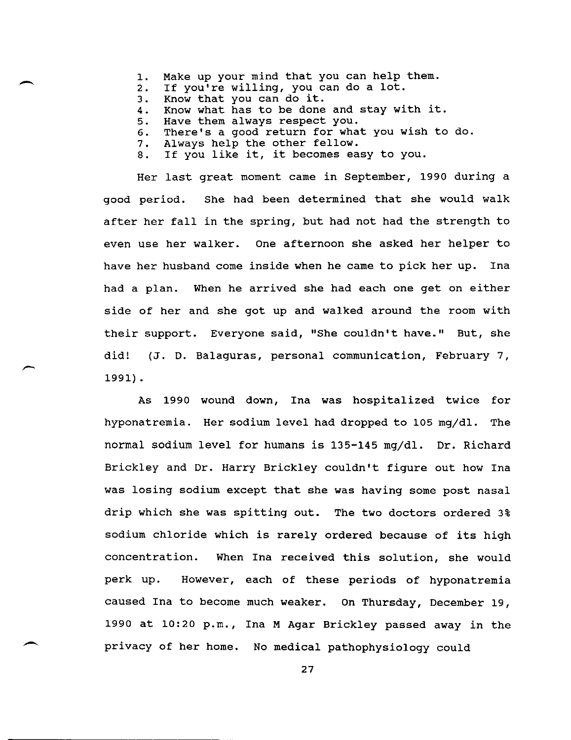- 1. Make up your mind that you can help them.
- 2. If you're willing, you can do a lot.<br>3. Know that you can do it.
- 3. Know that you can do it.<br>4. Know what has to be done

-

- 4. Know what has to be done and stay with it.<br>5. Have them always respect you.
- Have them always respect you.
- 6. There's a good return for what you wish to do.<br>7. Always help the other fellow.
- Always help the other fellow.
- 8. If you like it, it becomes easy to you.

Her last great moment came in september, 1990 during a good period. She had been determined that she would walk after her fall in the spring, but had not had the strength to even use her walker. One afternoon she asked her helper to have her husband come inside when he came to pick her up. Ina had a plan. When he arrived she had each one get on either side of her and she got up and walked around the room with their support. Everyone said, "She couldn't have." But, she did! (J. D. Balaguras, personal communication, February 7, 1991) .

As 1990 wound down, Ina was hospitalized twice for hyponatremia. Her sodium level had dropped to 105 mg/dl. The normal sodium level for humans is 135-145 mg/dl. Dr. Richard Brickley and Dr. Harry Brickley couldn't figure out how Ina was losing sodium except that she was having some post nasal drip which she was spitting out. The two doctors ordered 3% sodium chloride which is rarely ordered because of its high concentration. When Ina received this solution, she would perk up. However, each of these periods of hyponatremia caused Ina to become much weaker. On Thursday, December 19, 1990 at 10:20 p.m., Ina M Agar Brickley passed away in the privacy of her home. No medical pathophysiology could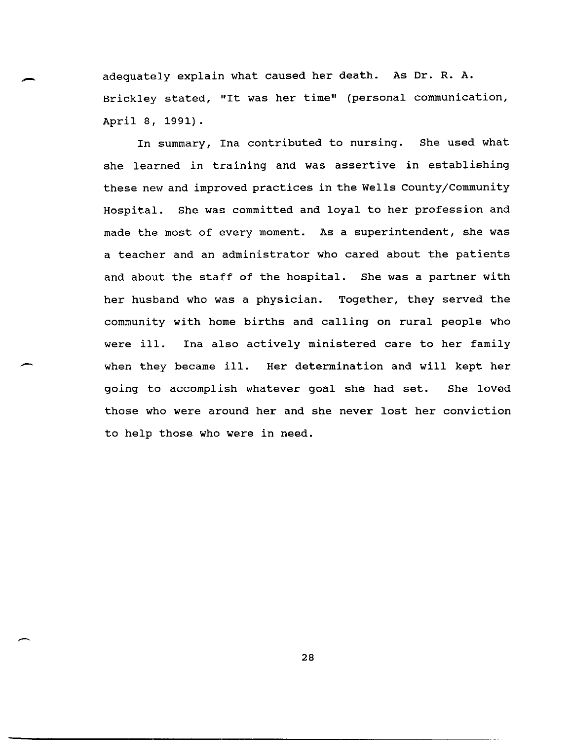adequately explain what caused her death. As Dr. R. A. Brickley stated, "It was her time" (personal communication, April 8, 1991).

In summary, Ina contributed to nursing. She used what she learned in training and was assertive in establishing these new and improved practices in the Wells County/Community Hospital. She was committed and loyal to her profession and made the most of every moment. As a superintendent, she was a teacher and an administrator who cared about the patients and about the staff of the hospital. She was a partner with her husband who was a physician. Together, they served the community with home births and calling on rural people who were ill. Ina also actively ministered care to her family when they became ill. Her determination and will kept her going to accomplish whatever goal she had set. She loved those who were around her and she never lost her conviction to help those who were in need.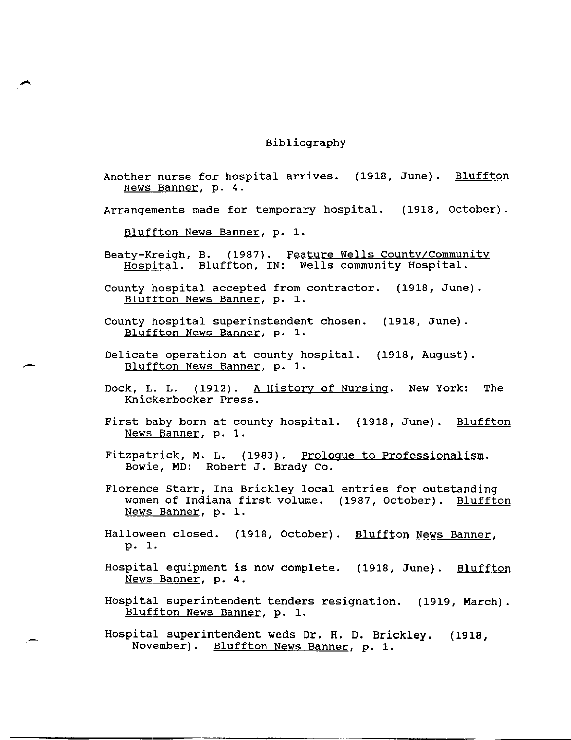## Bibliography

Another nurse for hospital arrives. (1918, June). Bluffton News Banner, p. 4.

Arrangements made for temporary hospital. (1918, October).

Bluffton News Banner, p. 1.

 $\blacktriangleright$ 

- Beaty-Kreigh, B. (1987). Feature Wells County/Community Hospital. Bluffton, IN: Wells community Hospital.
- County hospital accepted from contractor. (1918, June). Bluffton News Banner, p. 1.
- County hospital superinstendent chosen. (1918, June). Bluffton News Banner, p. 1.
- Delicate operation at county hospital. (1918, August). Bluffton News Banner, p. 1.
- Dock, L. L. (1912). A History of Nursing. New York: The Knickerbocker Press.
- First baby born at county hospital. (1918, June). Bluffton News Banner, p. 1.
- Fitzpatrick, M. L. (1983). Proloque to Professionalism. Bowie, MD: Robert J. Brady Co.
- Florence starr, Ina Brickley local entries for outstanding women of Indiana first volume. (1987, October). Bluffton News Banner, p. 1.
- Halloween closed. (1918, October). <u>Bluffton News Banner</u>, p. 1.
- Hospital equipment is now complete. (1918, June). Bluffton News Banner, p. 4.
- Hospital superintendent tenders resignation. (1919, March). Bluffton News Banner, p. 1.
- Hospital superintendent weds Dr. H. D. Brickley. (1918, November). Bluffton News Banner, p. 1.